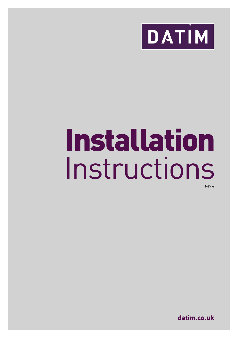

# Installation Instructions

Rev 4

datim.co.uk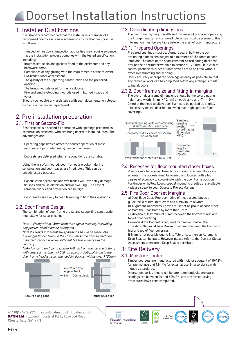# **1. Installer Qualifications**

recognised quality assurance scheme to ensure that best practise is followed. is followed. **1. IS TOLLOWED** recognised  $\alpha$  assurance scheme to ensure that best produced to ensure that best produced best produced best produced best produced by  $\alpha$ 

In respect of fire doors, inspection authorities may require evidence that the installation process complies with the tested specification, including: evidence that the installation process complies with the installation process complies with the test

- $\cdot$  Intumescent seals and gaskets fitted to the perimeter and any hardware items. **First of fire doors, inspection and gaskets fitted to the perimeter and gaskets fitted to the perimeter and gaskets fitted to the perimeter and any**  $\epsilon$
- $\cdot$  Compliance of any glazing with the requirements of the relevant • Compliance of any glazing with the requirements of the relevants<br>• Compliance of any glazing with the requirements of the relevants
- Divi Triaua otobat Assessment.<br>- The quality of the supporting construction and the prepared<br>- opening nie quality of the
	- opening.<br>• The fixing methods used for the fire doorset.
- The nxing methods used for the life door set.<br>The and smoke-stopping methods used in fitting-in gaps and<br>walds voids. voids.

voids.<br>Should you require any assistance with such documentation please please contact our Technical Department. • Fire and smoke-stopping methods used in fitting-in gaps and contact our Technical Department. please contact our Technical Department.

#### **2. Pre-installation preparation installation preparation** 2. Fire-instattation preparation<br>2.1. First or Second-Fix Should you require any assistance with such documentation please contact our Technical Department. 2. Pre-installation preparation **2. Pre-installation preparation installation preparation**

## 2.1. First or Second-Fix

2.1. First or Second-Fix<br>Best practise is a second-fix operation with openings prepared as construction proceeds, with pre-hung doorsets installed later. The<br>advantages are: auvaritages are. advantages are: The advantages are:

- · Operating gaps (which affect the correct operation of most • Doorsets are delivered when site conditions are suitable. intumescent perimeter seals) can be maintained. intumescent perimeter seals) can be maintained. • Doorsets are delivered when site conditions are suitable.
	- $\cdot$  Doorsets are delivered when site conditions are suitable. · Doorsets are delivered when site conditions are suitable.

Using the 'first-fix' method, door frames are built-in during construction and door leaves are fitted later. This can be unsatisfactory because:<br>• Construction operations and wet trades will invariably damage unsatisfactory because:

- Construction operations and wet trades will invariably damage mendial works and protection of door frame profile and supportion of door frame protection can be high. echosition operations and wet trades with invariably damage finishes and cause distortion and/or swelling. The cost of remedial works and protection can be high.
	-

# 2.2. Door Frame Design

The combination of door frame profile and supporting construction must allow for secure fixing.

Note 1: Fixing within 25mm from the edge of masonry (excluding any plaster) should not be attempted.

Note 2: Fixings into metal stud partitions should be made into full-length timber fillers in the studs unless the drywall partition manufacturer can provide sufficient fire test evidence to the Make fixings to each jamb spaced 100mm from the top and contrary.

---------,-<br>Make fixings to each jamb spaced 100mm from the top and bottom, make hangs to each family spaced from the more top and bettom,<br>with others a maximum of 500mm apart. Additional fixing to the with others a maximum or soomm apart. Additional hxing to the<br>door frame head is recommended for doorset widths over 1100mm.



Secure fixing zone

Timber ctud fille

# .<br>Door leaves are likely to need trimming to fit in their openings.

## 2.3. Co-ordinating dimensions

The co-ordinating height, width and thickness of prepared openings,<br>the fitting-in margin and allowed tolerances must be planned. This the fitting-in margin and allowed tolerances must be planned. This<br>information must be available before the start of door manufacture. **1. Installer Qualifications**<br>
It is strongly recommended that the installer is a member of a<br> **1. Installer And the installer is a member of a**<br> **1. Installer And the installer is a member of a**<br> **1. Installer Ins** the fitting-in margin and allowed tolerances must be planned. This

# 2.3.1. Prepared Openings

2.3.1. Prepared Openings<br>Prepared openings must be: plumb; square; built to the coordinating dimensions subject to a tolerance of +5/-0mm at each jamb and +5/-0mm at the head; constant co-ordinating thickness around their perimeter within a tolerance of +/-3mm. It is vital to control partition thickness if architraves are to be fitted without excessive trimming and scribing.

Check accuracy of prepared openings as early as possible so that any remedial work can be completed before any attempt is made<br>to install document of to install doors.<br>Check accuracy of prepared openings as early as early as early as early as early as possible so that prepared  $\alpha$  motor quoties.

# 2.3.2. Door frame size and fitting-in margins

The overall door frame dimensions should be the co-ordinating height and width -5mm (+/-2mm) on each jamb and -7mm (+/-2mm) at the head to allow door frames to be packed up slightly if necessary for the door leaf to swing over high spots or floor coverings. The door leaf to swing over high spots or floor leaf to swing or floor leaf to swing or floor leaf to swing or floor leaf to swing or floor leaf to swing or floor leaf to swing or floor leaf to swing or floor le  $\frac{1}{2}$  and  $\frac{1}{2}$  mm (+/--2mm) on each jamb and  $\frac{1}{2}$ coverings.



# Valitations as a co-ord dimension.<br>2.4. Recesses for floor mounted closer boxes

Plan pockets to receive closer boxes in reinforcement, floors and screeds. The pockets must be formed and located with a high<br>degree of accuracy to co-ordinate with the door frame position. degree of accuracy to co-ordinate with the door frame position. For timber or hollow floors, special mounting cradles are available – please speak to your Doorsets Project Manager.

# - please speak to your Doorsets Project Manager.<br>2.5. Fire Door Doorset Margins

 $\frac{2.3.1 \text{ m}}{\text{a} \cdot \text{D} \cdot \text{c} \cdot \text{D} \cdot \text{C}}$  and  $\frac{1}{2}$  Door Edge Gaps; Representative of those tested but as a analyzing of  $\frac{1}{2}$  and  $\frac{1}{2}$  and  $\frac{1}{2}$  analyzing of  $\frac{1}{2}$  and  $\frac{1}{2}$  analyzing of

guideline, a minimum of 2mm and a maximum of 4mm.<br>b) Alignment Tolerances; Leaves must not be proud of each other a) Door Edge Gaps; Representative of those tested but as a<br>guideline, a minimum of 2mm and a maximum of 4mm.<br>5.1 Missenset Telescope legues are materials are manufactured with

or from the Door frame by more than 1mm.

or from the Door frame by more than 1mm.<br>c) Threshold; Maximum of 10mm between the bottom of leaf and top of floor covering. The 12-14 state and 12-14 state and 12-14 state and 12-14 state and 12-14 state and 12-

top or noor covering.<br>However if the Doorset is required for Smoke Control, the

Threshold Gap must be a maximum of smill between the bottom of<br>leaf and top of floor covering.<br>If 3mm is not possible due to Site Tolerances, then an Automatic Threshold Gap must be a Maximum of 3mm between the bottom of leaf and top of floor covering.

Drop Seal can be fitted. However please refer to the Doorset Global Assessment to ensure a Drop Seal is permitted<br>  $\Omega$  C it a Deliver must

# 3. Site Delivery suitable to be manoeuvred moving equipment.

Tel: 01246 572277  $\frac{1}{2}$ Constructionline

 $T_{\rm T}$ 

Tel: 17 Archives of Capital pic.

Web: www.datim.co.uk

# 3.1. Moisture content<br>3.1. Moisture content

3.1. Moisture content<br>Timber doorsets are manufactured with moisture content of 10-12% for internal use and 12-14% for external use, in accordance with industry standards. The white white in the white white white white white white white white white white white white white white white white white white white white white white white white white white white white white white industry standards.<br>industry standards.<br>Doorset deliveries should not be attempted until site moisture

bmtrada

readings are between 40 and 60% RH, and any forced-drying procedures have been completed. are installed.

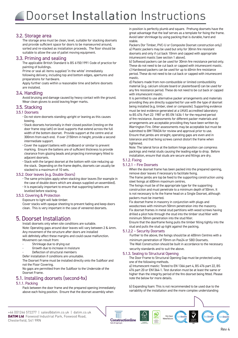#### **1. Installer Qualifications Qualifications 3.2. Storage area member of a member of a member of a member of a member of a member of a member of a member o**

The storage area must be clean, level, suitable for stacking doorsets and provide sufficient space for doors to be manoeuvred around, suitable to allow the use of pallet moving equipment. sorted and re-stacked as installation proceeds. The floor should be

# 3.3. Priming and sealing

The applicable British Standard is BS 6150:1991 Code of practice for painting of buildings.

Prime or seal all items supplied 'in the white' immediately following delivery, including top and bottom edges, apertures and

preparations for hardware. Apply further coats within a reasonable time and before doorsets • The fixing methods used for the fire doorset. are installed.

# • Fire and smoke-stopping methods used in fitting-in gaps and 3.4. Handling

. I Tal lutti fy<br>Avoid bruising and damage caused by heavy contact with the ground. Wear clean gloves to avoid leaving finger marks.

#### 3.5. Stacking

#### 3.5.1 Doorsets

- **2. Pre-installation preparation installation preparation**  Do not store doorsets standing upright or leaning as this causes 2.1 First or Second- First Second-Fix Best practise is a second-fix operation with openings prepared as • Stack doorsets horizontally in their closed position (resting on the bowing.
- door frame stop lath) on level supports that extend across the full width of the bottom doorset. Provide support at the centre and at width of the bottom doorset. Provide support at the centre and at 300mm from each end. If over 2150mm in height, provide a second intermediate support.
- intermediate support.<br>• Cover the support battens with cardboard or similar to prevent clearance from glazing beads and projecting ironmongery fitted to adjacent doorsets. This can be fitted later. This can be fitted later. This can be fitted later. This can be fit marking. Ensure the battens are of sufficient thickness to provide
- · Stack with the largest doorset at the bottom with size reducing up stacked to a maximum of 10 sets. the stack. Depending on the frame depths, doorsets can usually be

#### 3.5.2. Door leaves (e.g. Double Doors)

- remedial works and protection can be high. The same principles apply when stacking door leaves (for example in Fire same principles apply when stacking door teaves (for example).<br>the case of double doors which are always supplied un-assembled).
	- It is especially important to ensure that supporting battens are
- 1. It is especially important to ensure that supporting batteris are<br>levelled before stacking.<br>1. E. 2. Covering & Drotection

#### 3.5.3. Covering & Protection

covering a motection<br>Exposure to light will fade timber. Cover stacks with opaque sheeting to prevent fading and keep doors clean. This is very important in the case of veneered doorsets.

# 5. Doorset Installation

DOOT SCC ITTS CATENTIFITY IN ACTION FIRE TO THE INSTANCE TO THE INSTANCE TO THE INSTANCE TO THE INSTANCE TO THE INSTANCE TO THE INSTANCE TO THE INSTANCE TO THE INSTANCE TO THE INSTANCE TO THE INSTANCE TO THE INSTANCE TO TH Note: Operating gaps around door leaves will vary between 2 & 4mm. Any movement of the structure after doors are installed will definitely affect these margins and could cause malfunction. Movement can result from:

- Shrinkage due to drying out
- Growth due to increase in moisture
- Deflection of structural members
- Defer installation if conditions are unsuitable.

The Doorset Frame must be installed directly onto the Subfloor and not the Floor Covering.

No gaps are permitted from the Subfloor to the Underside of the Doorset Frame.

## 5.1. Installing doorsets (second-fix)

#### 5.1.1. Packing

Pack between the door frame and the prepared opening immediately above each fixing position. Ensure that the doorset assembly when

great advantage that the leaf serves as a template for fixing the frai<br>Avoid later shrinkage by using packing that is durable, hard and in position is perfectly plumb and square. Prehung doorsets have the great advantage that the leaf serves as a template for fixing the frame. stable.

stable.<br>Packers (for Timber, PVC-U or Composite Doorset construction only) a) Plastic packers may be used but only for 30min fire resistant doorsets and only if cut back 10mm and capped with appropriate intumescent mastic (see section 1 above).

b) Softwood packers can be used for 30min fire resistance period only. These do not need to be cut back or capped with intumescent mastic. c) Hardwood packers can be used for up to 60min fire resistance period. These do not need to be cut back or capped with intumescent with excessive trials and scribing and scribing and scribing. With  $\alpha$ 

nosses.<br>d) Packers made from non-combustible or limited combustibility ers, can be made in any non-particulated or similar complete board or plasterboard) can be used for that that the contribution is included board or present board of start be doen to any fire resistance period. These do not need to be cut back or capped with intumescent mastic.

with intumestent mastic.<br>It is permitted to use alternative packer arrangements and materials It is permitted to use atternative packer arrangements and materials<br>providing they are directly supported for use with the type of doorset being installed (e.g. timber, steel or composite). Supporting evidence must be test evidence generated at a UKAS accredited laboratory to BS 476: Part 22: 1987 or BS EN 1634-1 for the required period of fire resistance. Assessments for different packer materials and arrangements are acceptable providing they have been written by Warrington Fire. Other assessments may be acceptable but must be submitted to BM TRADA for review and approval prior to use. Ensure that jambs are straight, operating gaps are even and in tolerance and that fixing screws cannot distort the frame when tightened.

Note: The lateral force at the bottom hinge position can compress packings and metal studs causing the leading edge to drop. Before installation, ensure that studs are secure and fillings are dry.

#### 5.1.2. Fixing

# 5.1.2. Fixing<br>5.1.2.1 – Fire Doorsets

When the doorset frame has been packed into the prepared opening, remove door leaves if necessary to facilitate fixing.

The frame jambs are top be fixed to the supporting construction using available speak to the support any construction of the state of the support and settled fixings at 600mm maximum centres.

construction and must penetrate to a minimum depth of 50mm. It is not necessary to inx the manne nead on a single boorset, atthough<br>packers must be inserted.<br>Fix doorset frame in masonry in conjunction with plugs and The fixings must be of the appropriate type for the supporting is not necessary to fix the frame head on a Single Doorset, although packers must be inserted.

woodscrews with minimum 50mm penetration into the masonry. woodserews with infinitual roomin perfect dron into the mason y.<br>Fix doorset frames in metal stud partitions with wood screws having PIX doorset in arries in filetat stud partitions with wood screws having<br>drilled a pilot hole through the stud into the timber stud filler with aritied a pitot note through the stud filto the timber stud litter with<br>minimum 50mm penetration into the stud filler.

minimum oumm penetration into the stud nuer.<br>Ensure that the doorframe fixing pulls the timber filling tightly into the Stud and puts the stud up tight against the packing.<br>5.1.2.2 – Security Doorsets stud and pulls the stud up tight against the packing.

Further to the above, the fixings should be at 400mm Centres with a minimum penetration of 70mm on Pas24 or SBD Doorsets. The Wall Construction should be built in accordance to the necessary

security standards and to suit the above.

#### 5.1.3. Sealing to Structural Opening

5.1.3. Sealing to Structural Opening<br>The Door Frame to Structural Opening Gap must be protected using one of the following methods.

a) Intumescent mastic: Tested to EN 1366 part 4, BS 476 part 22, BS following delivery, including top and bottom edges, apertures and 476 part 20 or EN1364-1. Test duration must be at least the same or preparations for hardware. Apply further coats within a reasonable time and before doorsets higher than the integrity period of the fire doorset being fitted. Please note the below for more details.

b) Expanding foam: This is not recommended to be used due to the variability of the installation and the more complex understanding

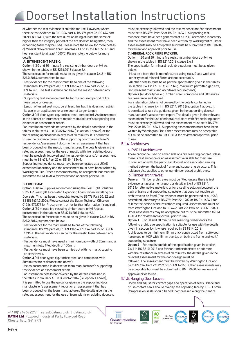**1. Installer Qualifications Qualifications** there is test evidence to EN 1366 part 4, BS 476 part 22, BS 476 part 20 or EN 1364-1, with the test duration being at least the same or higher than the integrity period of the fire doorset being fitted, then expanding foam may be used. Please note the below for more details. heat resistant to at least 1000°C. Please note the below for more evidence that the installation process complies with the tested with the tested with the tested with the test<br>The tested with the tested with the tested with the tested with the tested with the tested with the tested with of whether the test evidence is suitable for use. However, where c) Mineral fibre/ceramic fibre: Euroclass A1 or A2 to EN 13501-1 and details.

#### specification, including: **A. INTUMESCENT MASTIC:**

**A. INTUMESCENT MASTIC:**<br>**Option 1** (30 and 60 minute fire resisting timber doors only): As hardware items. • Compliance of any glazing with the requirements of the relevant shown in the tables in BS 8214:2016 clause 9.4.1

BM Trada Global Assessment. The specification for mastic must be as given in clause 9.4.2 in BS 8214: 2016, summarised below:

- 8214: 2016, summarised below:<br>· Test evidence for the mastic must be to one of the following standards: BS 476 part 20, BS EN 1366-4, BS 476 part 22 or BS EN 1634-1. The test evidence can be for the mastic between any materials.
	- $\cdot$  Supporting test evidence must be for the required period of fire resistance or greater.
	- · Length of tested seal must be at least 1m, but this does not restrict its use in an application for a fire door of larger length.

**2. Pre-installation preparation installation preparation Option 2** (all door types e.g. timber, steel, composite): As documented in the doorset or intumescent mastic manufacturer's supporting test<br>evidence or assessment report. evidence or assessment report.

For installation methods not covered by the details contained in the tables in clause 9.4.1 in BS 8214: 2016 (i.e. option 1 above), or for to use the guidance given in the supporting door manufacturer's test evidence/assessment document or an assessment that has • Doorsets are delivered when site conditions are suitable. been produced for the mastic manufacturer. The details given in the Using the 'first-fix' method, door frames are built-in during must be precisely followed and the test evidence and/or assessment must be predisely referred and the test extended and yer assessment.<br>must be to BS 476: Part 22 or BS EN 1634-1. fire resisting applications in excess of 60 minutes, it is permitted relevant assessment for the use of mastic with fire resisting doors

must be to be 470.1 at t 22 or be Etv 1004 1.<br>Supporting test evidence must have been generated at a UKAS accredited laboratory and the assessment must have been written by Warrington Fire. Other assessments may be acceptable but must be submitted to BM TRADA for review and approval prior to use.

#### **B. FIRE FOAM:**

**Option 1** Datim Supplies recommend using the Seal Tight Solutions<br>ST99 FR Foam (B1 Fire Rated Expanding Foam) when installing our Doorsets. This has been thoroughly tested to BS476 Part 20/22 and 01246 572277 for Procurement, or for further information if required. **Option 2** (30 minute fire resisting timber doors only): Use as **Option 1** Datim Supplies recommend using the Seal Tight Solutions BS EN 1634:3 2004. Please contact the Datim Technical Office on

documented in the tables in BS 8214:2016 clause 9.4.1 The specification for fire foam must be as given in clause 9.4.2 in BS 8214: 2016, summarised below:

- · Test evidence for the foam must be to one of the following standards: BS 476 part 20, BS EN 1366-4, BS 476 part 22 or BS EN 1634-1. The test evidence can be for the mastic foam between any fixing to the door frame head is recommended for doorset widths  $\frac{1}{2}$
- we consider the control measurem in the test evidence must have used a minimum gap width of 20mm and a maximum fully filled depth of 100mm.
- · Test evidence must have been carried out with no mastic capping or architraves.

**Option 3** (all door types e.g. timber, steel and composite, with 30minutes fire resistance and above):

Use as documented in doorset or foam manufacturer's supporting test evidence or assessment report

For installation details not covered by the details contained in the tables in clause 9.4.1 in BS 8214: 2016 (i.e. option 1 above), it is permitted to use the guidance given in the supporting door manufacturer's assessment report or an assessment that has been produced for the foam manufacturer. The details given in the relevant assessment for the use of foam with fire resisting doorsets must be to BS 476: Part 22 or BS EN 1634-1. Supporting test<br>evidence must have been generated at a UKAS accredited laboratory and the assessment must have been written by Warringtonfire. Other assessments may be acceptable but must be submitted to BM TRADA for review and approval prior to use. must be precisely followed and the test evidence and/or assessment must be to BS 476: Part 22 or BS EN 1634-1. Supporting test

#### **C. MINERAL ROCK FIBRE PACKING:**

Option 1 (30 and 60 minute fire resisting timber doors only): As shown in the tables in BS 8214:2016 clause 9.4.1

The specification for mineral rock fibre packing must be as given around the interval term in the tolerance of +/-3mm. It is vital It is vital It vital It vital It vital It vital It vital It vital It vital It vital It vital It vital It vital It vital It vital It vital It vital It vital I below:

- $\cdot$  Must be a fibre that is manufactured using rock. Glass wool and other types of mineral fibres are not acceptable.
- · All other details must be as per the specification given in the tables in section 9.4.1 in BS 8214: 2016 (e.g. maximum permitted gap size, in section 7.4.1 in BS 6214. 2010 (e.g. maximum protection 7.4.1 in BS 6214. 2010 (e.g. maximum pro

Internessent mastic and architeve requirements)<br>**Option 2** (all door types e.g. timber, steel, composite and 30minutes fire resistance and above):

here resistance and above):<br>For installation details not covered by the details contained in the tables in clause 9.4.1 in BS 8214: 2016 (i.e. option 1 above), it is permitted to use the guidance given in the supporting doorset manufacturer's assessment report. The details given in the relevant assessment for the use of mineral rock fibre with fire resisting doors must be precisely followed and the assessment must be to BS 476: Part 22 or BS EN 1634-1. Supporting assessments must have been written by Warrington Fire. Other assessments may be acceptable but must be submitted to BM TRADA for review and approval prior to use.

#### 5.1.4. Architraves

#### a. PVC-U Architraves:

there is test evidence or an assessment available for their use<br>in conjunction with the particular doorset and associated sealing med be even the back of frame and supporting structure. This guidance also applies to other non-timber based architraves. These cannot be used on either side of a fire resisting doorset unless there is test evidence or an assessment available for their use method between the back of frame and supporting structure. This

#### b. Timber architraves; special mounting cradles are expected as a result of  $\mathbf{r}$

**General** Timber architraves must be fitted unless there is test 2016 for alternative materials or for a sealing solution between t<br>back of frame and supporting structure that does not require an architrave to be fitted. Test evidence must be generated at a UKAS<br>accredited laboratory to BS 476: Part 22: 1987 or BS EN 1634-1 for at least the period of fire resistance required. Assessments must be at least the period of fire resistance required. Assessments must be from Warrington Fire and to BS 476: Part 22: 1987 or BS EN 1634-1. Other assessments may be acceptable but must be submitted to BM TRADA for review and approval prior to use. evidence, an assessment report or detail in 9.4.1 of BS 8214: 2016 for alternative materials or for a sealing solution between the accredited laboratory to BS 476: Part 22: 1987 or BS EN 1634-1 for

**Option 1** For 30 and 60 minute fire resisting timber doors the 3.<br>3.2 Architraves to be minimum 15mm thick constructed from softwood. following architrave specification is suitable for use with the details given in section 9.4.1, where required in BS 8214: 2016:

Architraves to be minimum 15mm thick constructed from softwood, hardwood or MDF with 15mm overlap on both the frame and wall/ supporting structure. The floor proceeds as installation proceeds. The floor proceeds as in the floor proceeds. The floor proceeds as in the floor proceeds. The floor proceeds as in the floor proceeds. The floor proceeds a

**Option 2** For details outside of the specification given in section with fire resistance in excess of 60 minutes, the details given in the<br>relevant assessment for the door design must be followed. The assessment must be written by Warrington Fire and be to BS 476: Part 22: 1987 or BS EN 1634-1. Other assessments may be acceptable but must be submitted to BM TRADA for review and 9.4.1 in BS 8214: 2016 and for non-timber doorsets or doorsets relevant assessment for the door design must be

#### approval prior to use. apply function to door.<br>5.1.5. Hanging Door Leaves

Check and adjust for correct gaps and operation of seals. Blade and brush contact seals should overlap the opposing face by 1.0 – 1.5mm. Compression seals should be 50% compressed along their entire

+44 (0)1246 572277 | sales@datim.co.uk | datim.co.uk Datim Supplies Foxwood Industrial Park DATIM Ltd Foxwood Industrial Park, Foxwood Road, Chesterfield, S41 9RN

Tel: 01246 572277  $\frac{1}{2}$  $\frac{FSC}{FSC}$ 





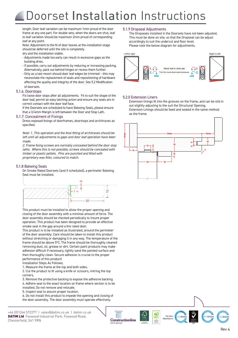length. Door lear variation can be maximum Thim proud or the door<br>frame at any one part. For double sets, when the doors are shut, leaf to leaf variation should be maximum 2mm proud of corresponding leaf at any point. The scheme to ensure that best practice that best produced best produced best produced best p length. Door leaf variation can be maximum 1mm proud of the door

Note: Adjustment to the fit of door leaves at the installation stage dry and the installation stable. should be deferred until the site is completely

- Adjustments made too early can result in excessive gaps as the specification, including dries.

- pullumg unes.<br>- If possible, carry out adjustments by reducing or increasing packing. h possible, early out digitalments by reducing or mercusing
- Atternatively, pack out behind ninges or recess them iurther.<br>- Only as a last resort should door leaf edges be trimmed this may necessitate the replacement of seals and repositioning of hardware affecting the quality and integrity of the door. See 5.2 Modification of doorsets used for the fire doorsets

## 5.1.6. Doorstops and smoke-stopping-in fitting-in gaps and  $\alpha$

Fix loose door stops after all adjustments. Fit to suit the shape of the door leaf, permit an easy latching action and ensure any seals are in correct contact with the door leaf face.

**2. Pre-installation preparation** is left between the Door and Stop Lath. If the Doorsets are scheduled to have Batwing Seals, please ensure

#### 5.1.7. Concealment of Fixings

or Second-Birland-First Second-Fixings<br>Dress exposed fixings of doorframes, doorstops and architraves as<br>Repared as a second-fixed construction proceeds, with pre-hung doorsets installed later. specified.

Note: 1. This operation and the final fitting of architraves should be left until all adjustments to gaps and door leaf operation have been made.

made.<br>2. Frame fixing screws are normally concealed behind the door stop timber or plastic pellets. Pins are punched and filled with proprietary wax filler, coloured to match. laths. Where this is not possible, screws should be concealed with

#### 5.1.8 Batwing Seals

on Smoke Rated Doorsets (and if scheduled), a perimeter Batwing<br>On Smoke Rated Doorsets (and if scheduled), a perimeter Batwing Seal must be installed.



This product must be installed to allow the proper opening and closing of the door assembly with a minimal amount of force. The door assembly should be checked periodically to insure proper operation. This product has been designed to provide an effective smoke seal in the gap around a fire rated door.

and south the gap around and cruced door.<br>This product is to be installed as illustrated, around the perimeter fixing product is to be installed as it distributed, and only the perimeter<br>of the door assembly. Care should be taken to install this product without stretching or damaging it in any way. The temperature of the frame should be above 5ºC. The frame should be thoroughly cleaned removing dust, oil, grease or dirt. Certain paint products may make adhesion difficult If necessary, lightly sand the painted surface and then thoroughly clean. Secure adhesion is crucial to the proper performance of this product!

Installation Steps As Follows;

1. Measure the frame at the top and both sides.

2. Cut the product to fit using a knife or scissors, mitring the top corners.

3. Remove the protective backing to expose the adhesive backing. 4. Adhere seal to the exact location on frame where section is to be installed. Do not remove and relocate.

5. Inspect seal to assure proper location.

6. Do not install this product to impede the opening and closing of the door assembly. The door assembly must operate effectively.

+44 (0)1246 572277 | sales@datim.co.uk | datim.co.uk Datim Supplies Foxwood Industrial Park DATIM Ltd Foxwood Industrial Park, Foxwood Road, Chesterfield, S41 9RN

#### 5.1.9 Dropseal Adjustments

The Dropseals installed in the Doorsets have not been adjusted.<br>This must be done on site, so that the Dropseal can be adjust accordingly to suit the undercut and floor level. Please note the below diagram for adjustments. The Dropseals installed in the Doorsets have not been adjusted.



#### 5.2.0 Extension Liners should be the co-ordinating be the co-ordination of the co-ordination of the co-ordination of the co-ordination of the co-ordination of the co-ordination of the co-ordination of the co-ordination of

he Extension linings fit into the grooves on the frame, and can be slid in Extension anings in the die grooves on the hand, and can be stidled up shows out slightly adjusting to the suit the Structural Opening. out sughtly adjusting to the suit the 3tructural opening.<br>Extension Linings should be fixed and sealed in the same method exterision Lir<br>as the frame.